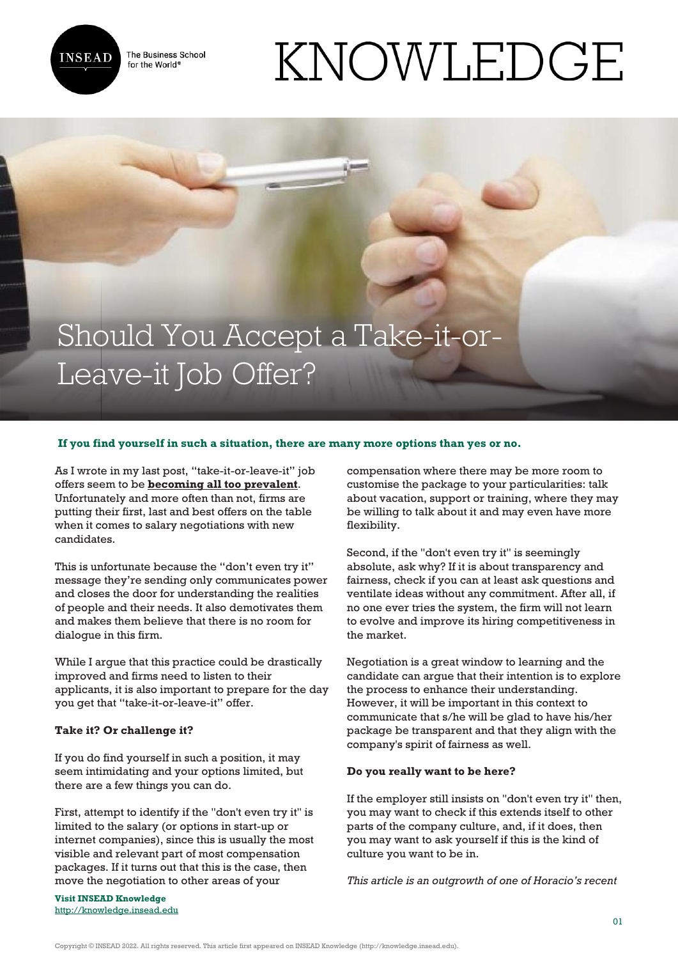

The Business School for the World<sup>®</sup>

# KNOWLEDGE

## Should You Accept a Take-it-or-Leave-it Job Offer?

### **If you find yourself in such a situation, there are many more options than yes or no.**

As I wrote in my last post, "take-it-or-leave-it" job offers seem to be **[becoming all too prevalent](http://knowledge.insead.edu/blog/insead-blog/take-it-or-leave-it-what-message-are-you-really-sending-4401)**. Unfortunately and more often than not, firms are putting their first, last and best offers on the table when it comes to salary negotiations with new candidates.

This is unfortunate because the "don't even try it" message they're sending only communicates power and closes the door for understanding the realities of people and their needs. It also demotivates them and makes them believe that there is no room for dialogue in this firm.

While I argue that this practice could be drastically improved and firms need to listen to their applicants, it is also important to prepare for the day you get that "take-it-or-leave-it" offer.

#### **Take it? Or challenge it?**

If you do find yourself in such a position, it may seem intimidating and your options limited, but there are a few things you can do.

First, attempt to identify if the "don't even try it" is limited to the salary (or options in start-up or internet companies), since this is usually the most visible and relevant part of most compensation packages. If it turns out that this is the case, then move the negotiation to other areas of your

**Visit INSEAD Knowledge** <http://knowledge.insead.edu>

compensation where there may be more room to customise the package to your particularities: talk about vacation, support or training, where they may be willing to talk about it and may even have more flexibility.

Second, if the "don't even try it" is seemingly absolute, ask why? If it is about transparency and fairness, check if you can at least ask questions and ventilate ideas without any commitment. After all, if no one ever tries the system, the firm will not learn to evolve and improve its hiring competitiveness in the market.

Negotiation is a great window to learning and the candidate can argue that their intention is to explore the process to enhance their understanding. However, it will be important in this context to communicate that s/he will be glad to have his/her package be transparent and that they align with the company's spirit of fairness as well.

#### **Do you really want to be here?**

If the employer still insists on "don't even try it" then, you may want to check if this extends itself to other parts of the company culture, and, if it does, then you may want to ask yourself if this is the kind of culture you want to be in.

*This article is an outgrowth of one of Horacio's recent*

Copyright © INSEAD 2022. All rights reserved. This article first appeared on INSEAD Knowledge (http://knowledge.insead.edu).